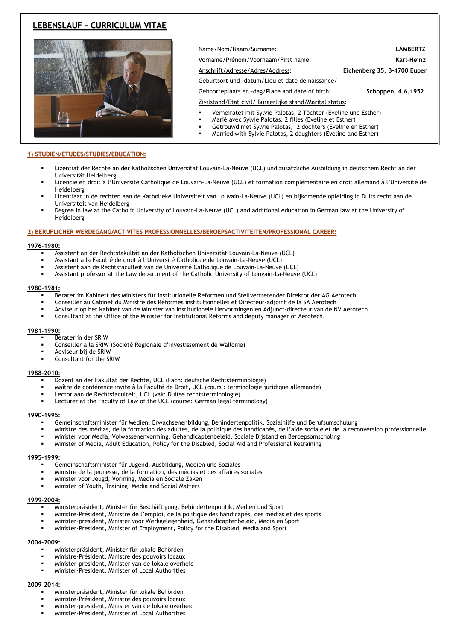# **LEBENSLAUF – CURRICULUM VITAE**



Name/Nom/Naam/Surname: **LAMBERTZ** Vorname/Prénom/Voornaam/First name: **Karl–Heinz** Anschrift/Adresse/Adres/Address: **Eichenberg 35, B-4700 Eupen**  Geburtsort und –datum/Lieu et date de naissance/

Geboorteplaats en -dag/Place and date of birth: **Schoppen, 4.6.1952**

Zivilstand/Etat civil/ Burgerlijke stand/Marital status:

- Verheiratet mit Sylvie Palotas, 2 Töchter (Eveline und Esther)
- Marié avec Sylvie Palotas, 2 filles (Eveline et Esther)
- Getrouwd met Sylvie Palotas, 2 dochters (Eveline en Esther)
- Married with Sylvie Palotas, 2 daughters (Eveline and Esther)

## **1) STUDIEN/ETUDES/STUDIES/EDUCATION:**

- Lizentiat der Rechte an der Katholischen Universität Louvain-La-Neuve (UCL) und zusätzliche Ausbildung in deutschem Recht an der Universität Heidelberg
- Licencié en droit à l'Université Catholique de Louvain-La-Neuve (UCL) et formation complémentaire en droit allemand à l'Université de Heidelberg
- Licentiaat in de rechten aan de Katholieke Universiteit van Louvain-La-Neuve (UCL) en bijkomende opleiding in Duits recht aan de Universiteit van Heidelberg
- Degree in law at the Catholic University of Louvain-La-Neuve (UCL) and additional education in German law at the University of Heidelberg

## **2) BERUFLICHER WERDEGANG/ACTIVITES PROFESSIONNELLES/BEROEPSACTIVITEITEN/PROFESSIONAL CAREER:**

## **1976-1980:**

- Assistent an der Rechtsfakultät an der Katholischen Universität Louvain-La-Neuve (UCL)
- Assistant à la Faculté de droit à l'Université Catholique de Louvain-La-Neuve (UCL)
- Assistent aan de Rechtsfaculteit van de Université Catholique de Louvain-La-Neuve (UCL)
- Assistant professor at the Law department of the Catholic University of Louvain-La-Neuve (UCL)

## **1980-1981:**

- Berater im Kabinett des Ministers für institutionelle Reformen und Stellvertretender Direktor der AG Aerotech
- Conseiller au Cabinet du Ministre des Réformes institutionnelles et Directeur-adjoint de la SA Aerotech
- Adviseur op het Kabinet van de Minister van Institutionele Hervormingen en Adjunct-directeur van de NV Aerotech
- Consultant at the Office of the Minister for Institutional Reforms and deputy manager of Aerotech.

#### **1981-1990:**

- Berater in der SRIW
- Conseiller à la SRIW (Société Régionale d'Investissement de Wallonie)
- Adviseur bij de SRIW
- Consultant for the SRIW

#### **1988–2010:**

- Dozent an der Fakultät der Rechte, UCL (Fach: deutsche Rechtsterminologie)
- Maître de conférence invité à la Faculté de Droit, UCL (cours : terminologie juridique allemande)
- Lector aan de Rechtsfaculteit, UCL (vak: Duitse rechtsterminologie)
- Lecturer at the Faculty of Law of the UCL (course: German legal terminology)

#### **1990-1995:**

- Gemeinschaftsminister für Medien, Erwachsenenbildung, Behindertenpolitik, Sozialhilfe und Berufsumschulung
- Ministre des médias, de la formation des adultes, de la politique des handicapés, de l'aide sociale et de la reconversion professionnelle
- Minister voor Media, Volwassenenvorming, Gehandicaptenbeleid, Sociale Bijstand en Beroepsomscholing
- Minister of Media, Adult Education, Policy for the Disabled, Social Aid and Professional Retraining

## **1995–1999:**

- Gemeinschaftsminister für Jugend, Ausbildung, Medien und Soziales
- Ministre de la jeunesse, de la formation, des médias et des affaires sociales
- Minister voor Jeugd, Vorming, Media en Sociale Zaken
- Minister of Youth, Training, Media and Social Matters

## **1999–2004:**

- Ministerpräsident, Minister für Beschäftigung, Behindertenpolitik, Medien und Sport
- Ministre-Président, Ministre de l'emploi, de la politique des handicapés, des médias et des sports
- Minister-president, Minister voor Werkgelegenheid, Gehandicaptenbeleid, Media en Sport
- Minister-President, Minister of Employment, Policy for the Disabled, Media and Sport

## **2004–2009:**

- Ministerpräsident, Minister für lokale Behörden
- Ministre-Président, Ministre des pouvoirs locaux
- Minister-president, Minister van de lokale overheid
- Minister-President, Minister of Local Authorities

## **2009-2014:**

- Ministerpräsident, Minister für lokale Behörden
- Ministre-Président, Ministre des pouvoirs locaux
- Minister-president, Minister van de lokale overheid
- Minister-President, Minister of Local Authorities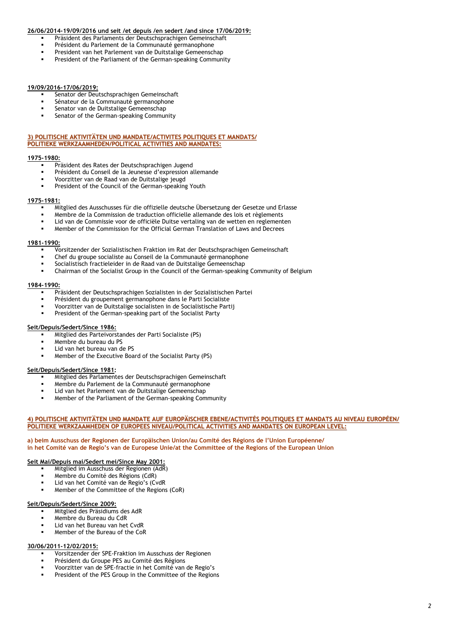## **26/06/2014-19/09/2016 und seit /et depuis /en sedert /and since 17/06/2019:**

- Präsident des Parlaments der Deutschsprachigen Gemeinschaft
- Président du Parlement de la Communauté germanophone
- President van het Parlement van de Duitstalige Gemeenschap
- President of the Parliament of the German-speaking Community

## **19/09/2016-17/06/2019:**

- Senator der Deutschsprachigen Gemeinschaft
- Sénateur de la Communauté germanophone
- Senator van de Duitstalige Gemeenschap
- Senator of the German-speaking Community

### **3) POLITISCHE AKTIVITÄTEN UND MANDATE/ACTIVITES POLITIQUES ET MANDATS/ POLITIEKE WERKZAAMHEDEN/POLITICAL ACTIVITIES AND MANDATES:**

### **1975-1980:**

- Präsident des Rates der Deutschsprachigen Jugend
- Président du Conseil de la Jeunesse d'expression allemande
- Voorzitter van de Raad van de Duitstalige jeugd
- President of the Council of the German-speaking Youth

## **1975-1981:**

- Mitglied des Ausschusses für die offizielle deutsche Übersetzung der Gesetze und Erlasse
- Membre de la Commission de traduction officielle allemande des lois et règlements
- Lid van de Commissie voor de officiële Duitse vertaling van de wetten en reglementen
- Member of the Commission for the Official German Translation of Laws and Decrees

#### **1981-1990:**

- Vorsitzender der Sozialistischen Fraktion im Rat der Deutschsprachigen Gemeinschaft
- Chef du groupe socialiste au Conseil de la Communauté germanophone
- Socialistisch fractieleider in de Raad van de Duitstalige Gemeenschap
- Chairman of the Socialist Group in the Council of the German-speaking Community of Belgium

## **1984-1990:**

- Präsident der Deutschsprachigen Sozialisten in der Sozialistischen Partei
- Président du groupement germanophone dans le Parti Socialiste
- Voorzitter van de Duitstalige socialisten in de Socialistische Partij
- President of the German-speaking part of the Socialist Party

## **Seit/Depuis/Sedert/Since 1986:**

- Mitglied des Parteivorstandes der Parti Socialiste (PS)
- Membre du bureau du PS
- Lid van het bureau van de PS
- Member of the Executive Board of the Socialist Party (PS)

## **Seit/Depuis/Sedert/Since 1981:**

- Mitglied des Parlamentes der Deutschsprachigen Gemeinschaft
- Membre du Parlement de la Communauté germanophone
- Lid van het Parlement van de Duitstalige Gemeenschap
- Member of the Parliament of the German-speaking Community

#### **4) POLITISCHE AKTIVITÄTEN UND MANDATE AUF EUROPÄISCHER EBENE/ACTIVITÉS POLITIQUES ET MANDATS AU NIVEAU EUROPÉEN/ POLITIEKE WERKZAAMHEDEN OP EUROPEES NIVEAU/POLITICAL ACTIVITIES AND MANDATES ON EUROPEAN LEVEL:**

#### **a) beim Ausschuss der Regionen der Europäischen Union/au Comité des Régions de l'Union Européenne/ in het Comité van de Regio's van de Europese Unie/at the Committee of the Regions of the European Union**

## **Seit Mai/Depuis mai/Sedert mei/Since May 2001:**

- Mitglied im Ausschuss der Regionen (AdR)
- Membre du Comité des Régions (CdR)
- Lid van het Comité van de Regio's (CvdR
- Member of the Committee of the Regions (CoR)

#### **Seit/Depuis/Sedert/Since 2009:**

- Mitglied des Präsidiums des AdR
- Membre du Bureau du CdR
- Lid van het Bureau van het CvdR
- Member of the Bureau of the CoR

## **30/06/2011-12/02/2015:**

- Vorsitzender der SPE-Fraktion im Ausschuss der Regionen
- Président du Groupe PES au Comité des Régions
- Voorzitter van de SPE-fractie in het Comité van de Regio's
- President of the PES Group in the Committee of the Regions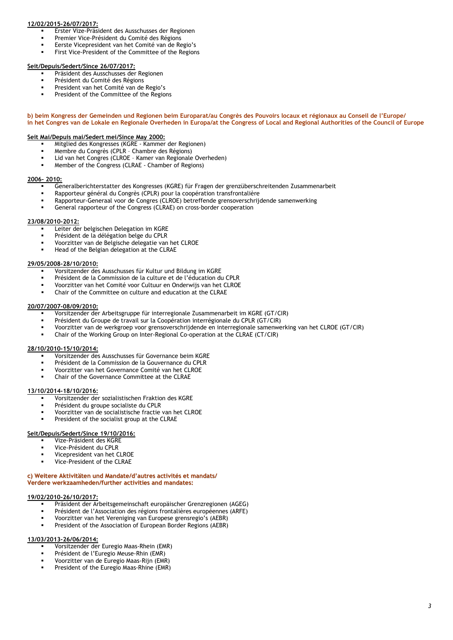## **12/02/2015-26/07/2017:**

- Erster Vize-Präsident des Ausschusses der Regionen
- Premier Vice-Président du Comité des Régions
- Eerste Vicepresident van het Comité van de Regio's
- First Vice-President of the Committee of the Regions

#### **Seit/Depuis/Sedert/Since 26/07/2017:**

- Präsident des Ausschusses der Regionen
- Président du Comité des Régions
- President van het Comité van de Regio's
- President of the Committee of the Regions

#### **b) beim Kongress der Gemeinden und Regionen beim Europarat/au Congrès des Pouvoirs locaux et régionaux au Conseil de l'Europe/ in het Congres van de Lokale en Regionale Overheden in Europa/at the Congress of Local and Regional Authorities of the Council of Europe**

## **Seit Mai/Depuis mai/Sedert mei/Since May 2000:**

- Mitglied des Kongresses (KGRE Kammer der Regionen)
- Membre du Congrès (CPLR Chambre des Régions)
- Lid van het Congres (CLROE Kamer van Regionale Overheden)
- Member of the Congress (CLRAE Chamber of Regions)

#### **2006- 2010:**

- Generalberichterstatter des Kongresses (KGRE) für Fragen der grenzüberschreitenden Zusammenarbeit
- Rapporteur général du Congrès (CPLR) pour la coopération transfrontalière
- Rapporteur-Generaal voor de Congres (CLROE) betreffende grensoverschrijdende samenwerking
- General rapporteur of the Congress (CLRAE) on cross-border cooperation

## **23/08/2010-2012:**

- Leiter der belgischen Delegation im KGRE
- Président de la délégation belge du CPLR
- Voorzitter van de Belgische delegatie van het CLROE
- Head of the Belgian delegation at the CLRAE

#### **29/05/2008-28/10/2010:**

- Vorsitzender des Ausschusses für Kultur und Bildung im KGRE
- Président de la Commission de la culture et de l'éducation du CPLR
- Voorzitter van het Comité voor Cultuur en Onderwijs van het CLROE
- Chair of the Committee on culture and education at the CLRAE

### **20/07/2007-08/09/2010:**

- Vorsitzender der Arbeitsgruppe für interregionale Zusammenarbeit im KGRE (GT/CIR)
- Président du Groupe de travail sur la Coopération interrégionale du CPLR (GT/CIR)
- Voorzitter van de werkgroep voor grensoverschrijdende en interregionale samenwerking van het CLROE (GT/CIR)
- Chair of the Working Group on Inter-Regional Co-operation at the CLRAE (CT/CIR)

#### **28/10/2010-15/10/2014:**

- Vorsitzender des Ausschusses für Governance beim KGRE
- Président de la Commission de la Gouvernance du CPLR
- Voorzitter van het Governance Comité van het CLROE
- Chair of the Governance Committee at the CLRAE

## **13/10/2014-18/10/2016:**

- Vorsitzender der sozialistischen Fraktion des KGRE
- Président du groupe socialiste du CPLR
- Voorzitter van de socialistische fractie van het CLROE
- President of the socialist group at the CLRAE

#### **Seit/Depuis/Sedert/Since 19/10/2016:**

- Vize-Präsident des KGRE
- Vice-Président du CPLR
- Vicepresident van het CLROE
- Vice-President of the CLRAE

#### **c) Weitere Aktivitäten und Mandate/d'autres activités et mandats/ Verdere werkzaamheden/further activities and mandates:**

## **19/02/2010-26/10/2017:**

- Präsident der Arbeitsgemeinschaft europäischer Grenzregionen (AGEG)
- Président de l'Association des régions frontalières européennes (ARFE)
- Voorzitter van het Vereniging van Europese grensregio's (AEBR)
- President of the Association of European Border Regions (AEBR)

#### **13/03/2013-26/06/2014:**

- Vorsitzender der Euregio Maas-Rhein (EMR)
- Président de l'Euregio Meuse-Rhin (EMR)
- Voorzitter van de Euregio Maas-Rijn (EMR)
- President of the Euregio Maas-Rhine (EMR)